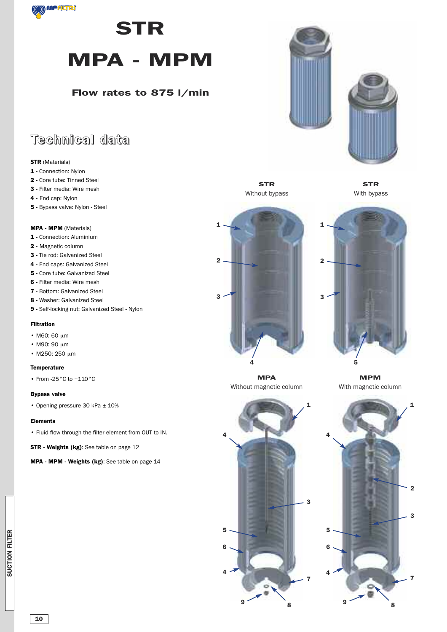

## **STR**

# **MPA - MPM**

### **Flow rates to 875 l/min**

### **Technical data**

#### **STR** (Materials)

- **1 -** Connection: Nylon
- **2 -** Core tube: Tinned Steel
- **3 -** Filter media: Wire mesh
- **4 -** End cap: Nylon
- **5 -** Bypass valve: Nylon Steel

#### **MPA - MPM** (Materials)

- **1 -** Connection: Aluminium
- **2 -** Magnetic column
- **3 -** Tie rod: Galvanized Steel
- **4 -** End caps: Galvanized Steel
- **5 -** Core tube: Galvanized Steel
- **6 -** Filter media: Wire mesh
- **7 -** Bottom: Galvanized Steel
- **8 -** Washer: Galvanized Steel
- **9 -** Self-locking nut: Galvanized Steel Nylon

#### **Filtration**

- M60: 60 um
- M90: 90 µm
- $\cdot$  M250: 250 µm

#### **Temperature**

• From -25°C to +110°C

#### **Bypass valve**

• Opening pressure 30 kPa ± 10%

#### **Elements**

• Fluid flow through the filter element from OUT to IN.

**STR - Weights (kg)**: See table on page 12

**MPA - MPM - Weights (kg)**: See table on page 14





**STR** Without bypass

**STR** With bypass





**MPA** Without magnetic column

**4**

**6**

**4**

**5**

**MPM** With magnetic column

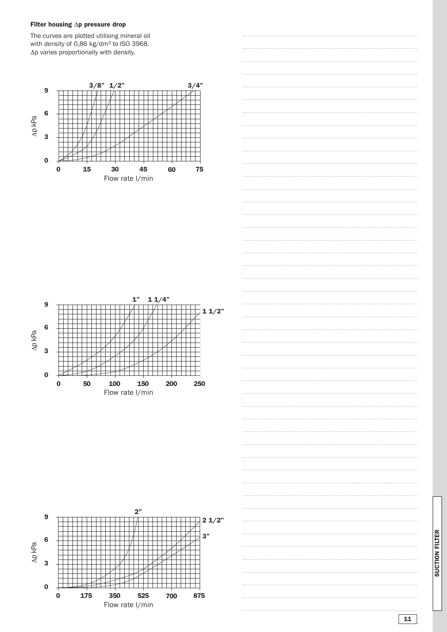#### **Filter housing** Δ**p pressure drop**

The curves are plotted utilising mineral oil with density of 0,86 kg/dm3 to ISO 3968. Δp varies proportionally with density.









**S U CTION FILTER**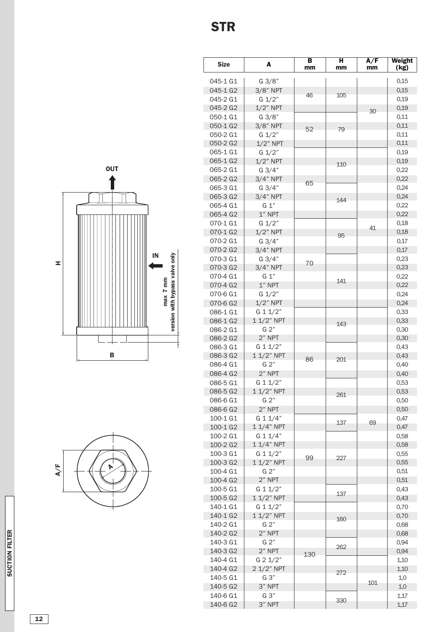**1 2**





| <b>Size</b>          | A                  | в<br>mm | н<br>mm | A/F<br>mm | Weight<br>(kg) |
|----------------------|--------------------|---------|---------|-----------|----------------|
| 045-1 G1             | G 3/8"             |         |         |           | 0.15           |
| 045-1 G2             | $3/8$ " NPT        |         |         |           | 0,15           |
| 045-2 G1             | G 1/2"             | 46      | 105     |           | 0,19           |
| 045-2 G2             | $1/2$ " NPT        |         |         | 30        | 0,19           |
| 050-1 G1             | G 3/8"             |         |         |           | 0,11           |
| 050-1 G2             | $3/8$ " NPT        | 52      | 79      |           | 0,11           |
| 050-2 G1             | G 1/2"             |         |         |           | 0,11           |
| 050-2 G2             | $1/2$ " NPT        |         |         |           | 0,11           |
| 065-1 G1             | G 1/2"             |         |         |           | 0,19           |
| 065-1 G2             | $1/2$ " NPT        |         | 110     |           | 0,19           |
| 065-2 G1             | $G \frac{3}{4}$    |         |         |           | 0,22           |
| 065-2 G2             | $3/4"$ NPT         | 65      |         |           | 0,22           |
| 065-3 G1             | $G \frac{3}{4}$    |         |         |           | 0,24           |
| 065-3 G2             | $3/4"$ NPT         |         | 144     |           | 0,24           |
| 065-4 G1             | G 1"               |         |         |           | 0,22           |
| 065-4 G2             | $1"$ NPT           |         |         |           | 0,22           |
| 070-1 G1             | $G \frac{1}{2}$    |         |         | 41        | 0,18           |
| 070-1 G2             | $1/2$ " NPT        |         | 95      |           | 0,18           |
| 070-2 G1             | $G \frac{3}{4}$    |         |         |           | 0,17           |
| 070-2 G <sub>2</sub> | $3/4"$ NPT         |         |         |           | 0,17           |
| 070-3 G1             | $G \frac{3}{4}$    | 70      |         |           | 0,23           |
| 070-3 G2             | $3/4"$ NPT         |         |         |           | 0,23           |
| 070-4 G1             | G 1"               |         | 141     |           | 0,22           |
| 070-4 G2             | $1"$ NPT<br>G 1/2" |         |         |           | 0,22           |
| 070-6 G1<br>070-6 G2 | $1/2$ " NPT        |         |         |           | 0,24<br>0,24   |
| 086-1 G1             | G 1 1/2"           |         |         |           | 0,33           |
| 086-1 G2             | 1 1/2" NPT         |         |         |           | 0,33           |
| 086-2 G1             | G 2"               |         | 143     |           | 0,30           |
| 086-2 G2             | 2" NPT             |         |         |           | 0,30           |
| 086-3 G1             | G 1 1/2"           |         |         |           | 0,43           |
| 086-3 G2             | 1 1/2" NPT         |         |         |           | 0,43           |
| 086-4 G1             | G 2"               | 86      | 201     |           | 0,40           |
| 086-4 G2             | 2" NPT             |         |         |           | 0,40           |
| 086-5 G1             | G 1 1/2"           |         |         |           | 0,53           |
| 086-5 G2             | 1 1/2" NPT         |         |         |           | 0,53           |
| 086-6 G1             | G 2"               |         | 261     |           | 0,50           |
| 086-6 G2             | $2"$ NPT           |         |         |           | 0,50           |
| 100-1 G1             | G 1 1/4"           |         |         |           | 0,47           |
| 100-1 G2             | $11/4"$ NPT        |         | 137     | 69        | 0,47           |
| 100-2 G1             | G 1 1/4"           |         |         |           | 0,58           |
| 100-2 G <sub>2</sub> | $11/4"$ NPT        |         |         |           | 0,58           |
| 100-3 G1             | G 1 1/2"           | 99      | 227     |           | 0,55           |
| 100-3 G <sub>2</sub> | $11/2$ " NPT       |         |         |           | 0,55           |
| 100-4 G1             | G 2"               |         |         |           | 0,51           |
| 100-4 G <sub>2</sub> | 2" NPT             |         |         |           | 0,51           |
| 100-5 G1             | G 1 1/2"           |         | 137     |           | 0,43           |
| 100-5 G2             | $11/2$ " NPT       |         |         |           | 0,43           |
| 140-1 G1             | G 1 1/2"           |         |         |           | 0,70           |
| 140-1 G2             | $11/2$ " NPT       |         | 160     |           | 0,70           |
| 140-2 G1             | G 2"               |         |         |           | 0,68           |
| 140-2 G2             | 2" NPT             |         |         |           | 0,68           |
| 140-3 G1             | G 2"               |         | 262     |           | 0,94           |
| 140-3 G2             | 2" NPT             | 130     |         |           | 0,94           |
| 140-4 G1             | G 2 1/2"           |         |         |           | 1,10           |
| 140-4 G2             | 2 1/2" NPT         |         | 272     |           | 1,10           |
| 140-5 G1             | G 3"               |         |         | 101       | 1,0            |
| 140-5 G2             | 3" NPT             |         |         |           | 1,0            |
| 140-6 G1             | G 3"               |         |         |           | 1,17           |

3 3 0

1,17

140-6 G<sub>2</sub>

3" NPT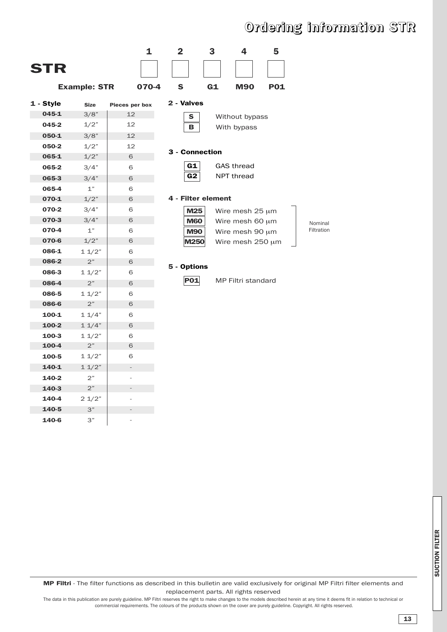### **Ordering information STR**



**MP Filtri** - The filter functions as described in this bulletin are valid exclusively for original MP Filtri filter elements and replacement parts. All rights reserved

The data in this publication are purely guideline. MP Filtri reserves the right to make changes to the models described herein at any time it deems fit in relation to technical or commercial requirements. The colours of the products shown on the cover are purely guideline. Copyright. All rights reserved.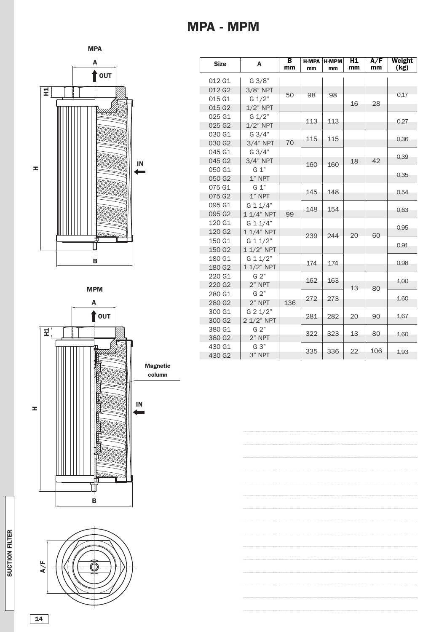

**MPM**





| <b>Size</b>        | A               | B<br>mm | <b>H-MPA</b><br>mm | <b>H-MPM</b><br>mm | H1<br>mm | A/F<br>mm | Weight<br>(kg) |
|--------------------|-----------------|---------|--------------------|--------------------|----------|-----------|----------------|
| 012 G1             | G 3/8"          |         |                    |                    |          |           |                |
| 012 G <sub>2</sub> | $3/8"$ NPT      |         |                    |                    |          |           |                |
| 015 G1             | $G \frac{1}{2}$ | 50      | 98                 | 98                 |          |           | 0,17           |
| 015 G2             | $1/2$ " NPT     |         |                    |                    | 16       | 28        |                |
| 025 G1             | $G \frac{1}{2}$ |         |                    |                    |          |           |                |
| 025 G2             | $1/2$ " NPT     |         | 113                | 113                |          |           | 0,27           |
| 030 G1             | $G \frac{3}{4}$ |         | 115                | 115                |          |           |                |
| 030 G <sub>2</sub> | $3/4"$ NPT      | 70      |                    |                    |          |           | 0,36           |
| 045 G1             | $G \frac{3}{4}$ |         |                    |                    |          |           | 0,39           |
| 045 G2             | $3/4"$ NPT      |         | 160                | 160                | 18       | 42        |                |
| 050 G1             | G 1"            |         |                    |                    |          |           | 0,35           |
| 050 G2             | $1"$ NPT        |         |                    |                    |          |           |                |
| 075 G1             | G 1"            |         | 145                | 148                |          |           | 0.54           |
| 075 G2             | $1"$ NPT        |         |                    |                    |          |           |                |
| 095 G1             | G 1 1/4"        |         | 148                | 154                |          |           | 0.63           |
| 095 G <sub>2</sub> | 1 1/4" NPT      | 99      |                    |                    |          |           |                |
| 120 G1             | G 1 1/4"        |         |                    |                    |          |           | 0,95           |
| 120 G <sub>2</sub> | $11/4"$ NPT     |         | 239                | 244                | 20       | 60        |                |
| 150 G1             | G 1 1/2"        |         |                    |                    |          |           | 0,91           |
| 150 G <sub>2</sub> | 1 1/2" NPT      |         |                    |                    |          |           |                |
| 180 G1             | G 1 1/2"        |         | 174                | 174                |          |           | 0.98           |
| 180 G2             | 1 1/2" NPT      |         |                    |                    |          |           |                |
| 220 G1             | G 2"            |         | 162                | 163                |          |           | 1,00           |
| 220 G <sub>2</sub> | 2" NPT          |         |                    |                    | 13       | 80        |                |
| 280 G1             | G 2"            |         | 272                | 273                |          |           | 1,60           |
| 280 G <sub>2</sub> | 2" NPT          | 136     |                    |                    |          |           |                |
| 300 G1             | G 2 1/2"        |         | 281                | 282                | 20       | 90        | 1,67           |
| 300 G <sub>2</sub> | 2 1/2" NPT      |         |                    |                    |          |           |                |
| 380 G1             | G 2"            |         | 322                | 323                | 13       | 80        | 1,60           |
| 380 G2             | 2" NPT          |         |                    |                    |          |           |                |
| 430 G1             | G 3"            |         | 335                | 336                | 22       | 106       | 1,93           |
| 430 G <sub>2</sub> | 3" NPT          |         |                    |                    |          |           |                |

**S U CTION FILTER**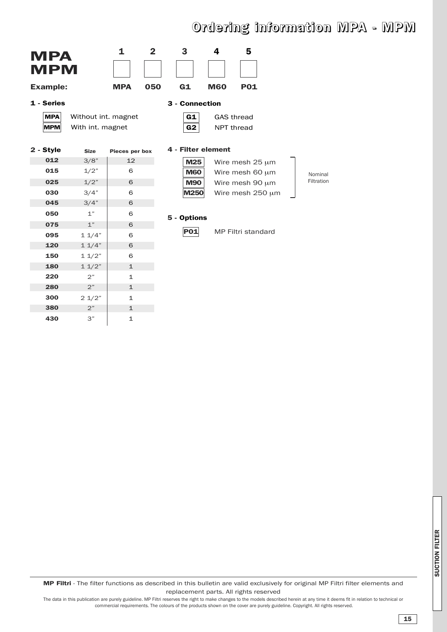## **Ordering information MPA - MPM**

Nominal Filtration

| <b>MPA</b><br><b>MPM</b><br><b>Example:</b> |             | 1<br><b>MPA</b>                         | $\mathbf{2}$<br>050 | 3<br>G1              | 4<br><b>M60</b> | 5<br><b>P01</b>                 |  |  |
|---------------------------------------------|-------------|-----------------------------------------|---------------------|----------------------|-----------------|---------------------------------|--|--|
| 1 - Series                                  |             | 3 - Connection                          |                     |                      |                 |                                 |  |  |
| <b>MPA</b><br><b>MPM</b>                    |             | Without int. magnet<br>With int. magnet |                     | G1<br>G <sub>2</sub> |                 | <b>GAS thread</b><br>NPT thread |  |  |
| 2 - Style                                   | <b>Size</b> | Pieces per box                          |                     | 4 - Filter element   |                 |                                 |  |  |
| 012                                         | 3/8"        | 12                                      |                     | M25                  |                 | Wire mesh $25 \mu m$            |  |  |
| 015                                         | 1/2"        | 6                                       |                     | <b>M60</b>           |                 | Wire mesh 60 um                 |  |  |
| 025                                         | 1/2"        | 6                                       |                     | <b>M90</b>           |                 | Wire mesh 90 um                 |  |  |
| 030                                         | 3/4"        | 6                                       |                     | <b>M250</b>          |                 | Wire mesh 250 µm                |  |  |
| 045                                         | 3/4"        | 6                                       |                     |                      |                 |                                 |  |  |
| 050                                         | 1"          | 6                                       |                     | 5 - Options          |                 |                                 |  |  |
| 075                                         | 1"          | 6                                       |                     |                      |                 |                                 |  |  |
| 095                                         | 11/4"       | 6                                       |                     | <b>P01</b>           |                 | MP Filtri standard              |  |  |
| 120                                         | 11/4"       | 6                                       |                     |                      |                 |                                 |  |  |
| 150                                         | 11/2"       | 6                                       |                     |                      |                 |                                 |  |  |
| 180                                         | 11/2"       | $\mathbf{1}$                            |                     |                      |                 |                                 |  |  |
| 220                                         | 2"          | $\mathbf{1}$                            |                     |                      |                 |                                 |  |  |
| 280                                         | 2"          | $\mathbf{1}$                            |                     |                      |                 |                                 |  |  |
| 300                                         | 21/2"       | $\mathbf{1}$                            |                     |                      |                 |                                 |  |  |
| 380                                         | 2"          | $\mathbf{1}$                            |                     |                      |                 |                                 |  |  |
| 430                                         | 3"          | $\mathbf{1}$                            |                     |                      |                 |                                 |  |  |

**S U CTION FILTER**

**MP Filtri** - The filter functions as described in this bulletin are valid exclusively for original MP Filtri filter elements and replacement parts. All rights reserved

The data in this publication are purely guideline. MP Filtri reserves the right to make changes to the models described herein at any time it deems fit in relation to technical or commercial requirements. The colours of the products shown on the cover are purely guideline. Copyright. All rights reserved.

**15**